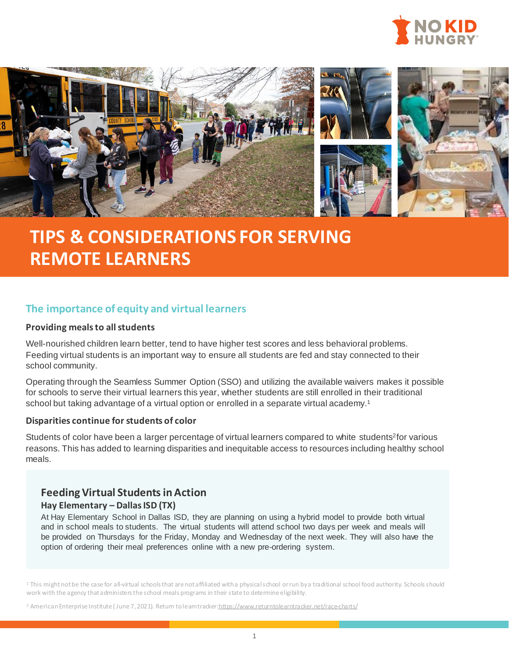



# **TIPS & CONSIDERATIONS FOR SERVING REMOTE LEARNERS**

# **The importance of equity and virtual learners**

#### **Providing meals to all students**

Well-nourished children learn better, tend to have higher test scores and less behavioral problems. Feeding virtual students is an important way to ensure all students are fed and stay connected to their school community.

Operating through the Seamless Summer Option (SSO) and utilizing the available waivers makes it possible for schools to serve their virtual learners this year, whether students are still enrolled in their traditional school but taking advantage of a virtual option or enrolled in a separate virtual academy.<sup>1</sup>

### **Disparities continue for students of color**

Students of color have been a larger percentage of virtual learners compared to white students<sup>2</sup>for various reasons. This has added to learning disparities and inequitable access to resources including healthy school meals.

## **Feeding Virtual Students in Action**

## **Hay Elementary – Dallas ISD (TX)**

At Hay Elementary School in Dallas ISD, they are planning on using a hybrid model to provide both virtual and in school meals to students. The virtual students will attend school two days per week and meals will be provided on Thursdays for the Friday, Monday and Wednesday of the next week. They will also have the option of ordering their meal preferences online with a new pre-ordering system.

<sup>1</sup> This might not be the case for all-virtual schools that are not affiliated with a physical school or run by a traditional school food authority. Schools should work with the agency that administers the school meals programs in their state to determine eligibility.

<sup>2</sup> American Enterprise Institute (June 7, 2021). Return to learntracker[:https://www.returntolearntracker.net/race-charts/](https://www.returntolearntracker.net/race-charts/)